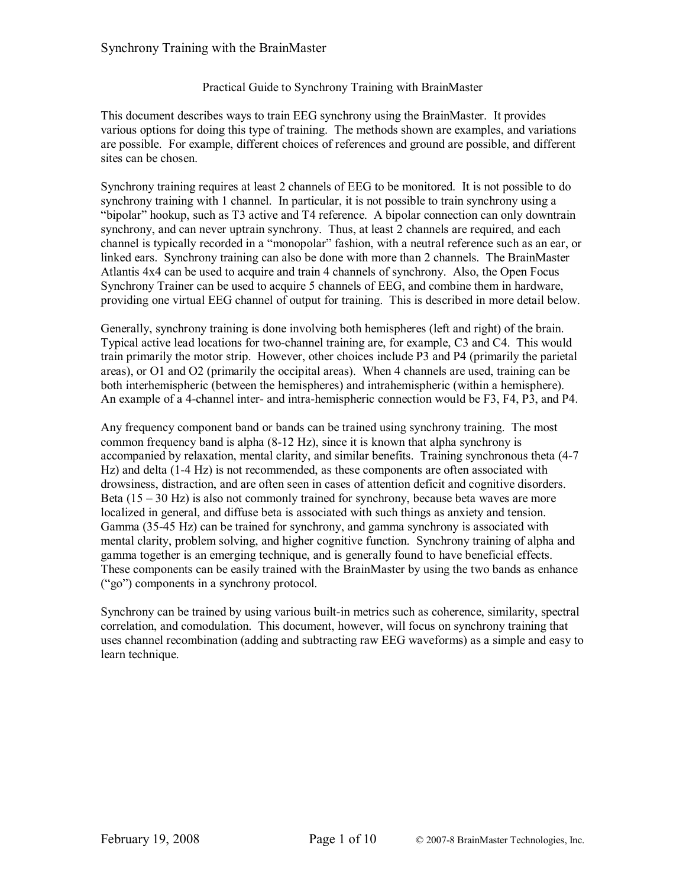#### Practical Guide to Synchrony Training with BrainMaster

This document describes ways to train EEG synchrony using the BrainMaster. It provides various options for doing this type of training. The methods shown are examples, and variations are possible. For example, different choices of references and ground are possible, and different sites can be chosen.

Synchrony training requires at least 2 channels of EEG to be monitored. It is not possible to do synchrony training with 1 channel. In particular, it is not possible to train synchrony using a "bipolar" hookup, such as T3 active and T4 reference. A bipolar connection can only downtrain synchrony, and can never uptrain synchrony. Thus, at least 2 channels are required, and each channel is typically recorded in a "monopolar" fashion, with a neutral reference such as an ear, or linked ears. Synchrony training can also be done with more than 2 channels. The BrainMaster Atlantis 4x4 can be used to acquire and train 4 channels of synchrony. Also, the Open Focus Synchrony Trainer can be used to acquire 5 channels of EEG, and combine them in hardware, providing one virtual EEG channel of output for training. This is described in more detail below.

Generally, synchrony training is done involving both hemispheres (left and right) of the brain. Typical active lead locations for two-channel training are, for example, C3 and C4. This would train primarily the motor strip. However, other choices include P3 and P4 (primarily the parietal areas), or O1 and O2 (primarily the occipital areas). When 4 channels are used, training can be both interhemispheric (between the hemispheres) and intrahemispheric (within a hemisphere). An example of a 4-channel inter- and intra-hemispheric connection would be F3, F4, P3, and P4.

Any frequency component band or bands can be trained using synchrony training. The most common frequency band is alpha  $(8-12 \text{ Hz})$ , since it is known that alpha synchrony is accompanied by relaxation, mental clarity, and similar benefits. Training synchronous theta (47 Hz) and delta (14 Hz) is not recommended, as these components are often associated with drowsiness, distraction, and are often seen in cases of attention deficit and cognitive disorders. Beta  $(15 - 30$  Hz) is also not commonly trained for synchrony, because beta waves are more localized in general, and diffuse beta is associated with such things as anxiety and tension. Gamma (3545 Hz) can be trained for synchrony, and gamma synchrony is associated with mental clarity, problem solving, and higher cognitive function. Synchrony training of alpha and gamma together is an emerging technique, and is generally found to have beneficial effects. These components can be easily trained with the BrainMaster by using the two bands as enhance ("go") components in a synchrony protocol.

Synchrony can be trained by using various built-in metrics such as coherence, similarity, spectral correlation, and comodulation. This document, however, will focus on synchrony training that uses channel recombination (adding and subtracting raw EEG waveforms) as a simple and easy to learn technique.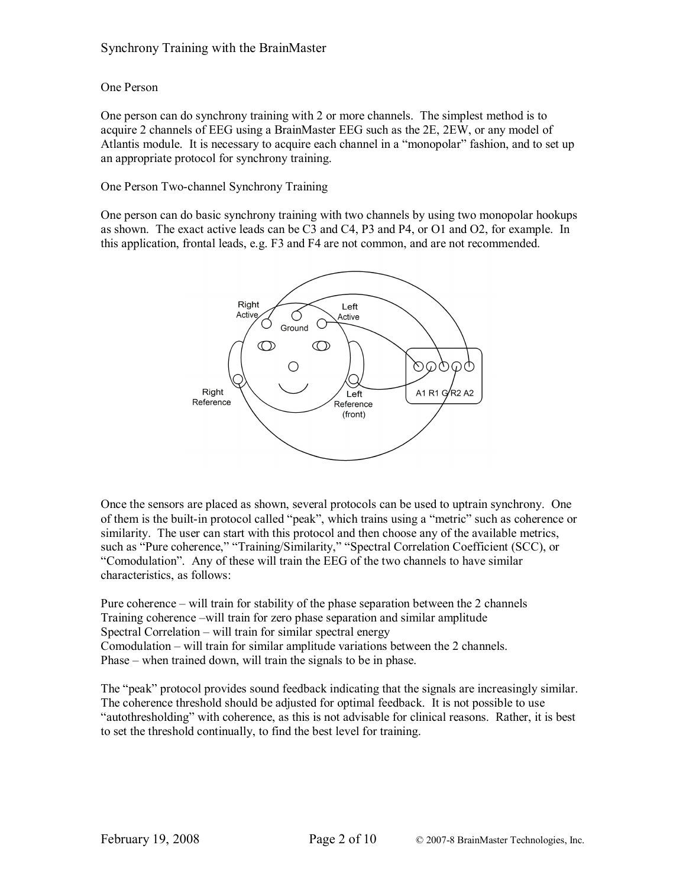# One Person

One person can do synchrony training with 2 or more channels. The simplest method is to acquire 2 channels of EEG using a BrainMaster EEG such as the 2E, 2EW, or any model of Atlantis module. It is necessary to acquire each channel in a "monopolar" fashion, and to set up an appropriate protocol for synchrony training.

## One Person Two-channel Synchrony Training

One person can do basic synchrony training with two channels by using two monopolar hookups as shown. The exact active leads can be C3 and C4, P3 and P4, or O1 and O2, for example. In this application, frontal leads, e.g. F3 and F4 are not common, and are not recommended.



Once the sensors are placed as shown, several protocols can be used to uptrain synchrony. One of them is the built-in protocol called "peak", which trains using a "metric" such as coherence or similarity. The user can start with this protocol and then choose any of the available metrics, such as "Pure coherence," "Training/Similarity," "Spectral Correlation Coefficient (SCC), or "Comodulation". Any of these will train the EEG of the two channels to have similar characteristics, as follows:

Pure coherence – will train for stability of the phase separation between the 2 channels Training coherence –will train for zero phase separation and similar amplitude Spectral Correlation – will train for similar spectral energy Comodulation – will train for similar amplitude variations between the 2 channels. Phase – when trained down, will train the signals to be in phase.

The "peak" protocol provides sound feedback indicating that the signals are increasingly similar. The coherence threshold should be adjusted for optimal feedback. It is not possible to use "autothresholding" with coherence, as this is not advisable for clinical reasons. Rather, it is best to set the threshold continually, to find the best level for training.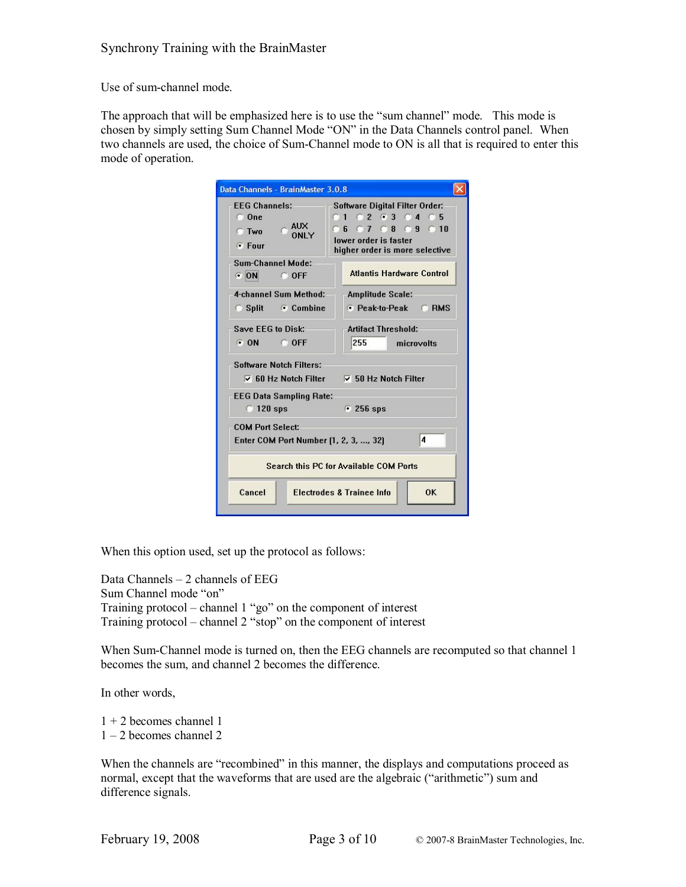Use of sum-channel mode.

The approach that will be emphasized here is to use the "sum channel" mode. This mode is chosen by simply setting Sum Channel Mode "ON" in the Data Channels control panel. When two channels are used, the choice of Sum-Channel mode to ON is all that is required to enter this mode of operation.

| Data Channels - BrainMaster 3.0.8                                                 |                                                                                                                                        |  |  |
|-----------------------------------------------------------------------------------|----------------------------------------------------------------------------------------------------------------------------------------|--|--|
| <b>FEG Channels:</b><br>CO <sub>ne</sub><br>$\sim$ AUX<br>C Two<br>ONLY<br>⊕ Four | <b>Software Digital Filter Order:</b><br>0102630405<br>C 6 C 7 C 8 C 9 C 10<br>lower order is faster<br>higher order is more selective |  |  |
| Sum-Channel Mode:<br>ON ODFF                                                      | <b>Atlantis Hardware Control</b>                                                                                                       |  |  |
| 4-channel Sum Method:<br><b>Split</b> Combine                                     | <b>Amplitude Scale:</b><br><b>E</b> Peak-to-Peak C RMS                                                                                 |  |  |
| Save EEG to Disk:<br>$\odot$ ON $\odot$ OFF                                       | <b>Artifact Threshold:</b><br>255<br>microvolts                                                                                        |  |  |
| <b>Software Notch Filters:</b>                                                    | $\overline{v}$ 60 Hz Notch Filter $\overline{v}$ 50 Hz Notch Filter                                                                    |  |  |
| <b>EEG Data Sampling Rate:</b><br>$\degree$ 120 sps                               | $\cdot$ 256 sps                                                                                                                        |  |  |
| <b>COM Port Select:</b><br>Enter COM Port Number [1, 2, 3, , 32]                  | 4                                                                                                                                      |  |  |
|                                                                                   | Search this PC for Available COM Ports                                                                                                 |  |  |
| Cancel                                                                            | <b>Electrodes &amp; Trainee Info</b><br>OK                                                                                             |  |  |

When this option used, set up the protocol as follows:

Data Channels – 2 channels of EEG Sum Channel mode "on" Training protocol – channel 1 "go" on the component of interest Training protocol – channel 2 "stop" on the component of interest

When Sum-Channel mode is turned on, then the EEG channels are recomputed so that channel 1 becomes the sum, and channel 2 becomes the difference.

In other words,

1 + 2 becomes channel 1

1 – 2 becomes channel 2

When the channels are "recombined" in this manner, the displays and computations proceed as normal, except that the waveforms that are used are the algebraic ("arithmetic") sum and difference signals.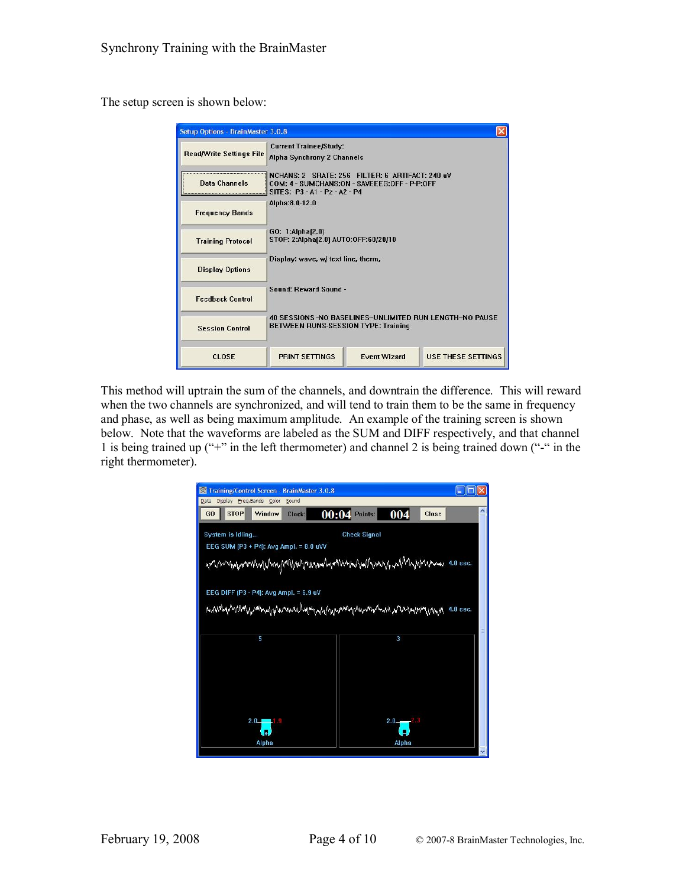The setup screen is shown below:

| Setup Options - BrainMaster 3.0.8 |                                                                                                                                  |                     |                           |  |
|-----------------------------------|----------------------------------------------------------------------------------------------------------------------------------|---------------------|---------------------------|--|
| <b>Read/Write Settings File</b>   | <b>Current Trainee/Study:</b><br>Alpha Synchrony 2 Channels                                                                      |                     |                           |  |
| Data Channels                     | NCHANS: 2 SRATE: 256 FILTER: 6 ARTIFACT: 240 uV<br>COM: 4 - SUMCHANS:ON - SAVEEEG:OFF - P-P:OFF<br>SITES: P3 - A1 - Pz - A2 - P4 |                     |                           |  |
| <b>Frequency Bands</b>            | Alpha:8.0-12.0                                                                                                                   |                     |                           |  |
| <b>Training Protocol</b>          | GO: 1:Alpha(2.0)<br>STOP: 2:Alpha(2.0) AUTO:OFF:60/20/10                                                                         |                     |                           |  |
| <b>Display Options</b>            | Display: wave, w/ text line, therm,                                                                                              |                     |                           |  |
| <b>Feedback Control</b>           | Sound: Reward Sound -                                                                                                            |                     |                           |  |
| <b>Session Control</b>            | 40 SESSIONS -NO BASELINES-UNLIMITED RUN LENGTH-NO PAUSE<br><b>BETWEEN RUNS-SESSION TYPE: Training</b>                            |                     |                           |  |
| CLOSE                             | <b>PRINT SETTINGS</b>                                                                                                            | <b>Event Wizard</b> | <b>USE THESE SETTINGS</b> |  |

This method will uptrain the sum of the channels, and downtrain the difference. This will reward when the two channels are synchronized, and will tend to train them to be the same in frequency and phase, as well as being maximum amplitude. An example of the training screen is shown below. Note that the waveforms are labeled as the SUM and DIFF respectively, and that channel 1 is being trained up ("+" in the left thermometer) and channel 2 is being trained down ("-" in the right thermometer).

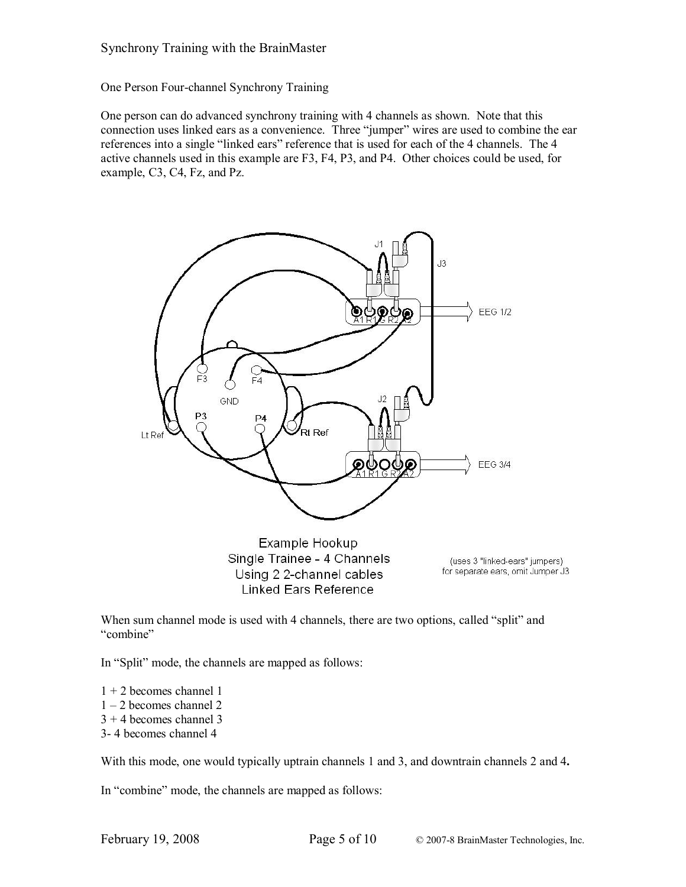One Person Four-channel Synchrony Training

One person can do advanced synchrony training with 4 channels as shown. Note that this connection uses linked ears as a convenience. Three "jumper" wires are used to combine the ear references into a single "linked ears" reference that is used for each of the 4 channels. The 4 active channels used in this example are F3, F4, P3, and P4. Other choices could be used, for example, C3, C4, Fz, and Pz.



Single Trainee - 4 Channels Using 2 2-channel cables Linked Ears Reference

(uses 3 "linked-ears" jumpers) for separate ears, omit Jumper J3

When sum channel mode is used with 4 channels, there are two options, called "split" and "combine"

In "Split" mode, the channels are mapped as follows:

- 1 + 2 becomes channel 1
- 1 2 becomes channel 2
- $3 + 4$  becomes channel 3
- 3 4 becomes channel 4

With this mode, one would typically uptrain channels 1 and 3, and downtrain channels 2 and 4**.**

In "combine" mode, the channels are mapped as follows: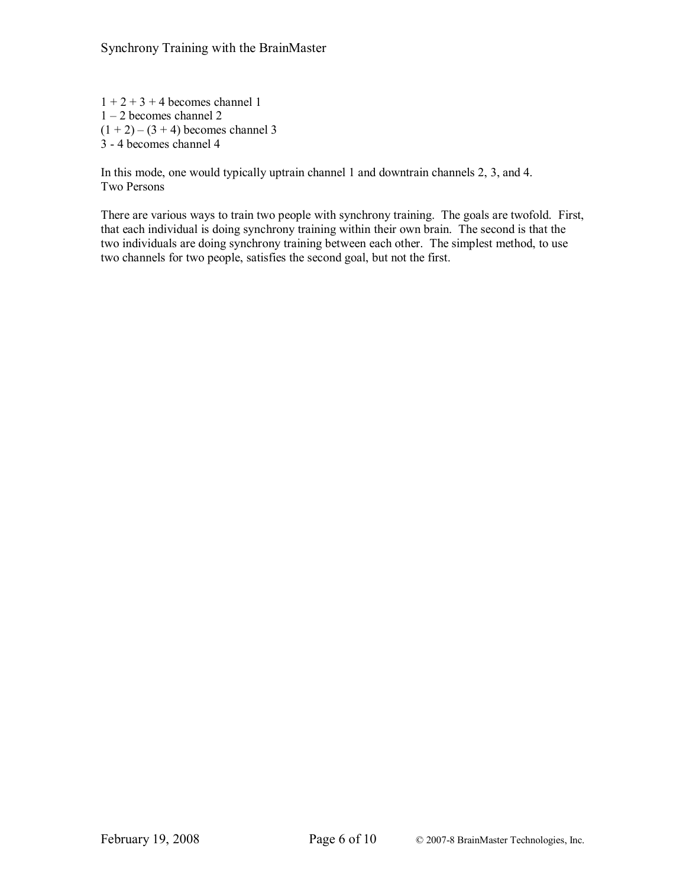$1 + 2 + 3 + 4$  becomes channel 1 1 – 2 becomes channel 2  $(1 + 2) - (3 + 4)$  becomes channel 3 3 4 becomes channel 4

In this mode, one would typically uptrain channel 1 and downtrain channels 2, 3, and 4. Two Persons

There are various ways to train two people with synchrony training. The goals are twofold. First, that each individual is doing synchrony training within their own brain. The second is that the two individuals are doing synchrony training between each other. The simplest method, to use two channels for two people, satisfies the second goal, but not the first.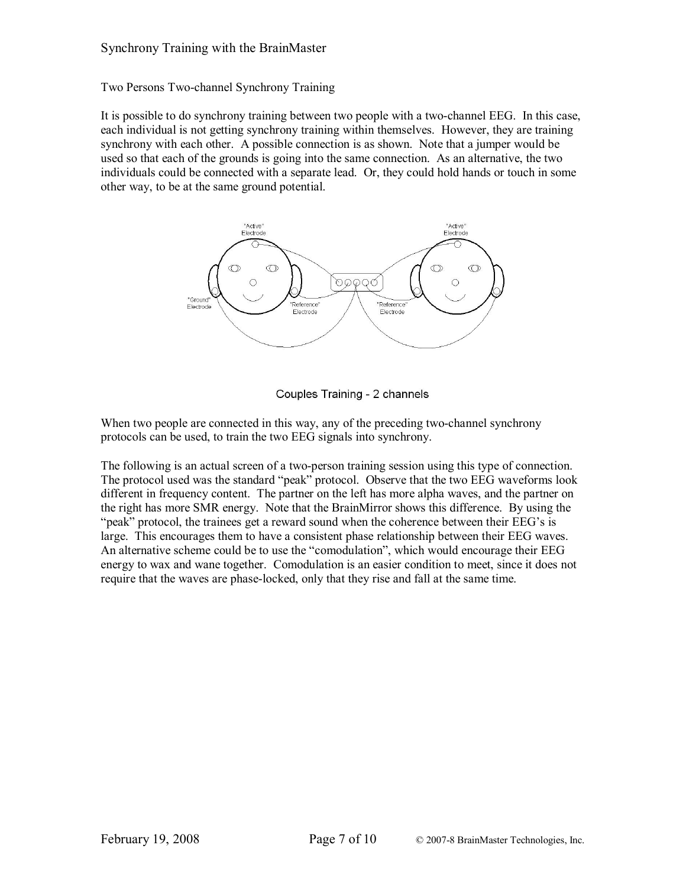Two Persons Two-channel Synchrony Training

It is possible to do synchrony training between two people with a two-channel EEG. In this case, each individual is not getting synchrony training within themselves. However, they are training synchrony with each other. A possible connection is as shown. Note that a jumper would be used so that each of the grounds is going into the same connection. As an alternative, the two individuals could be connected with a separate lead. Or, they could hold hands or touch in some other way, to be at the same ground potential.



Couples Training - 2 channels

When two people are connected in this way, any of the preceding two-channel synchrony protocols can be used, to train the two EEG signals into synchrony.

The following is an actual screen of a two-person training session using this type of connection. The protocol used was the standard "peak" protocol. Observe that the two EEG waveforms look different in frequency content. The partner on the left has more alpha waves, and the partner on the right has more SMR energy. Note that the BrainMirror shows this difference. By using the "peak" protocol, the trainees get a reward sound when the coherence between their EEG's is large. This encourages them to have a consistent phase relationship between their EEG waves. An alternative scheme could be to use the "comodulation", which would encourage their EEG energy to wax and wane together. Comodulation is an easier condition to meet, since it does not require that the waves are phase-locked, only that they rise and fall at the same time.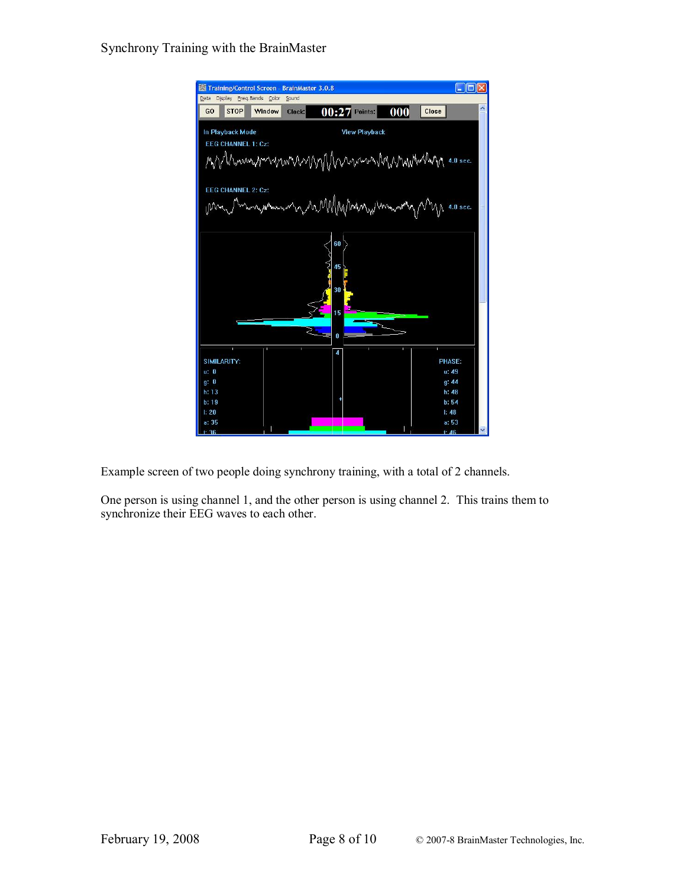

Example screen of two people doing synchrony training, with a total of 2 channels.

One person is using channel 1, and the other person is using channel 2. This trains them to synchronize their EEG waves to each other.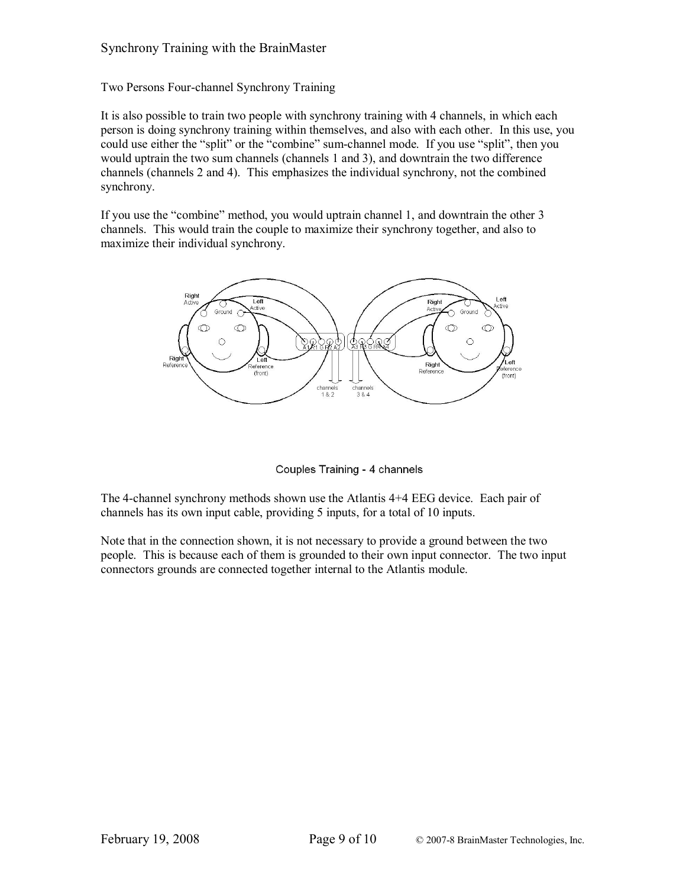Two Persons Four-channel Synchrony Training

It is also possible to train two people with synchrony training with 4 channels, in which each person is doing synchrony training within themselves, and also with each other. In this use, you could use either the "split" or the "combine" sum-channel mode. If you use "split", then you would uptrain the two sum channels (channels 1 and 3), and downtrain the two difference channels (channels 2 and 4). This emphasizes the individual synchrony, not the combined synchrony.

If you use the "combine" method, you would uptrain channel 1, and downtrain the other 3 channels. This would train the couple to maximize their synchrony together, and also to maximize their individual synchrony.



Couples Training - 4 channels

The 4-channel synchrony methods shown use the Atlantis 4+4 EEG device. Each pair of channels has its own input cable, providing 5 inputs, for a total of 10 inputs.

Note that in the connection shown, it is not necessary to provide a ground between the two people. This is because each of them is grounded to their own input connector. The two input connectors grounds are connected together internal to the Atlantis module.